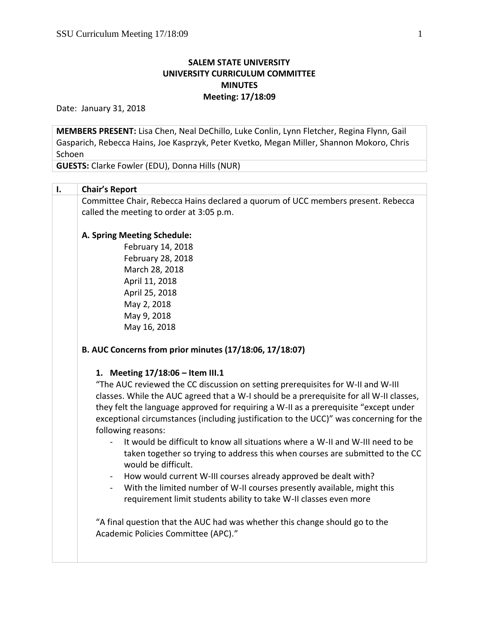# **SALEM STATE UNIVERSITY UNIVERSITY CURRICULUM COMMITTEE MINUTES Meeting: 17/18:09**

Date: January 31, 2018

**MEMBERS PRESENT:** Lisa Chen, Neal DeChillo, Luke Conlin, Lynn Fletcher, Regina Flynn, Gail Gasparich, Rebecca Hains, Joe Kasprzyk, Peter Kvetko, Megan Miller, Shannon Mokoro, Chris Schoen

**GUESTS:** Clarke Fowler (EDU), Donna Hills (NUR)

# **I. Chair's Report**

Committee Chair, Rebecca Hains declared a quorum of UCC members present. Rebecca called the meeting to order at 3:05 p.m.

### **A. Spring Meeting Schedule:**

February 14, 2018 February 28, 2018 March 28, 2018 April 11, 2018 April 25, 2018 May 2, 2018 May 9, 2018 May 16, 2018

# **B. AUC Concerns from prior minutes (17/18:06, 17/18:07)**

#### **1. Meeting 17/18:06 – Item III.1**

"The AUC reviewed the CC discussion on setting prerequisites for W-II and W-III classes. While the AUC agreed that a W-I should be a prerequisite for all W-II classes, they felt the language approved for requiring a W-II as a prerequisite "except under exceptional circumstances (including justification to the UCC)" was concerning for the following reasons:

- It would be difficult to know all situations where a W-II and W-III need to be taken together so trying to address this when courses are submitted to the CC would be difficult.
- How would current W-III courses already approved be dealt with?
- With the limited number of W-II courses presently available, might this requirement limit students ability to take W-II classes even more

"A final question that the AUC had was whether this change should go to the Academic Policies Committee (APC)."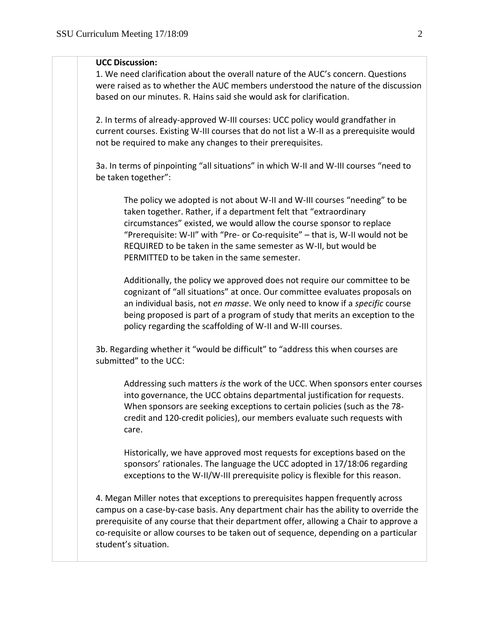#### **UCC Discussion:**

1. We need clarification about the overall nature of the AUC's concern. Questions were raised as to whether the AUC members understood the nature of the discussion based on our minutes. R. Hains said she would ask for clarification.

2. In terms of already-approved W-III courses: UCC policy would grandfather in current courses. Existing W-III courses that do not list a W-II as a prerequisite would not be required to make any changes to their prerequisites.

3a. In terms of pinpointing "all situations" in which W-II and W-III courses "need to be taken together":

The policy we adopted is not about W-II and W-III courses "needing" to be taken together. Rather, if a department felt that "extraordinary circumstances" existed, we would allow the course sponsor to replace "Prerequisite: W-II" with "Pre- or Co-requisite" – that is, W-II would not be REQUIRED to be taken in the same semester as W-II, but would be PERMITTED to be taken in the same semester.

Additionally, the policy we approved does not require our committee to be cognizant of "all situations" at once. Our committee evaluates proposals on an individual basis, not *en masse*. We only need to know if a *specific* course being proposed is part of a program of study that merits an exception to the policy regarding the scaffolding of W-II and W-III courses.

3b. Regarding whether it "would be difficult" to "address this when courses are submitted" to the UCC:

Addressing such matters *is* the work of the UCC. When sponsors enter courses into governance, the UCC obtains departmental justification for requests. When sponsors are seeking exceptions to certain policies (such as the 78 credit and 120-credit policies), our members evaluate such requests with care.

Historically, we have approved most requests for exceptions based on the sponsors' rationales. The language the UCC adopted in 17/18:06 regarding exceptions to the W-II/W-III prerequisite policy is flexible for this reason.

4. Megan Miller notes that exceptions to prerequisites happen frequently across campus on a case-by-case basis. Any department chair has the ability to override the prerequisite of any course that their department offer, allowing a Chair to approve a co-requisite or allow courses to be taken out of sequence, depending on a particular student's situation.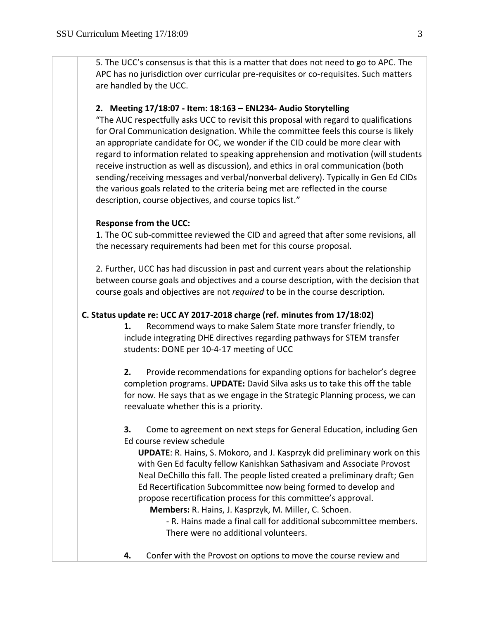5. The UCC's consensus is that this is a matter that does not need to go to APC. The APC has no jurisdiction over curricular pre-requisites or co-requisites. Such matters are handled by the UCC.

#### **2. Meeting 17/18:07 - Item: 18:163 – ENL234- Audio Storytelling**

"The AUC respectfully asks UCC to revisit this proposal with regard to qualifications for Oral Communication designation. While the committee feels this course is likely an appropriate candidate for OC, we wonder if the CID could be more clear with regard to information related to speaking apprehension and motivation (will students receive instruction as well as discussion), and ethics in oral communication (both sending/receiving messages and verbal/nonverbal delivery). Typically in Gen Ed CIDs the various goals related to the criteria being met are reflected in the course description, course objectives, and course topics list."

#### **Response from the UCC:**

1. The OC sub-committee reviewed the CID and agreed that after some revisions, all the necessary requirements had been met for this course proposal.

2. Further, UCC has had discussion in past and current years about the relationship between course goals and objectives and a course description, with the decision that course goals and objectives are not *required* to be in the course description.

### **C. Status update re: UCC AY 2017-2018 charge (ref. minutes from 17/18:02)**

**1.** Recommend ways to make Salem State more transfer friendly, to include integrating DHE directives regarding pathways for STEM transfer students: DONE per 10-4-17 meeting of UCC

**2.** Provide recommendations for expanding options for bachelor's degree completion programs. **UPDATE:** David Silva asks us to take this off the table for now. He says that as we engage in the Strategic Planning process, we can reevaluate whether this is a priority.

**3.** Come to agreement on next steps for General Education, including Gen Ed course review schedule

**UPDATE**: R. Hains, S. Mokoro, and J. Kasprzyk did preliminary work on this with Gen Ed faculty fellow Kanishkan Sathasivam and Associate Provost Neal DeChillo this fall. The people listed created a preliminary draft; Gen Ed Recertification Subcommittee now being formed to develop and propose recertification process for this committee's approval.

**Members:** R. Hains, J. Kasprzyk, M. Miller, C. Schoen.

- R. Hains made a final call for additional subcommittee members. There were no additional volunteers.

**4.** Confer with the Provost on options to move the course review and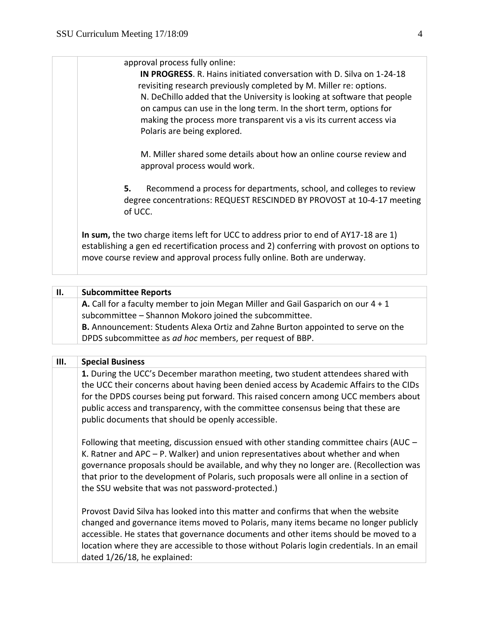approval process fully online:

**IN PROGRESS**. R. Hains initiated conversation with D. Silva on 1-24-18 revisiting research previously completed by M. Miller re: options. N. DeChillo added that the University is looking at software that people on campus can use in the long term. In the short term, options for making the process more transparent vis a vis its current access via Polaris are being explored.

M. Miller shared some details about how an online course review and approval process would work.

**5.** Recommend a process for departments, school, and colleges to review degree concentrations: REQUEST RESCINDED BY PROVOST at 10-4-17 meeting of UCC.

**In sum,** the two charge items left for UCC to address prior to end of AY17-18 are 1) establishing a gen ed recertification process and 2) conferring with provost on options to move course review and approval process fully online. Both are underway.

| Н. | <b>Subcommittee Reports</b>                                                                |
|----|--------------------------------------------------------------------------------------------|
|    | <b>A.</b> Call for a faculty member to join Megan Miller and Gail Gasparich on our $4 + 1$ |
|    | subcommittee - Shannon Mokoro joined the subcommittee.                                     |
|    | <b>B.</b> Announcement: Students Alexa Ortiz and Zahne Burton appointed to serve on the    |
|    | DPDS subcommittee as ad hoc members, per request of BBP.                                   |

| Ш. | <b>Special Business</b>                                                                                                                                                                                                                                                                                                                                                                                                |
|----|------------------------------------------------------------------------------------------------------------------------------------------------------------------------------------------------------------------------------------------------------------------------------------------------------------------------------------------------------------------------------------------------------------------------|
|    | 1. During the UCC's December marathon meeting, two student attendees shared with<br>the UCC their concerns about having been denied access by Academic Affairs to the CIDs<br>for the DPDS courses being put forward. This raised concern among UCC members about<br>public access and transparency, with the committee consensus being that these are<br>public documents that should be openly accessible.           |
|    | Following that meeting, discussion ensued with other standing committee chairs (AUC -<br>K. Ratner and APC $-$ P. Walker) and union representatives about whether and when<br>governance proposals should be available, and why they no longer are. (Recollection was<br>that prior to the development of Polaris, such proposals were all online in a section of<br>the SSU website that was not password-protected.) |
|    | Provost David Silva has looked into this matter and confirms that when the website<br>changed and governance items moved to Polaris, many items became no longer publicly<br>accessible. He states that governance documents and other items should be moved to a<br>location where they are accessible to those without Polaris login credentials. In an email<br>dated 1/26/18, he explained:                        |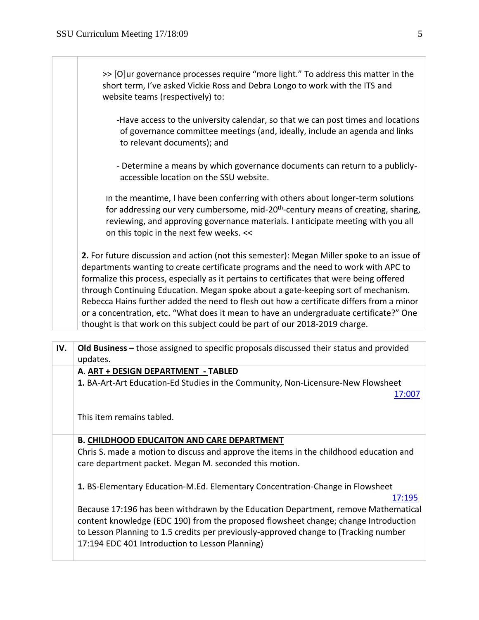>> [O]ur governance processes require "more light." To address this matter in the short term, I've asked Vickie Ross and Debra Longo to work with the ITS and website teams (respectively) to:

- -Have access to the university calendar, so that we can post times and locations of governance committee meetings (and, ideally, include an agenda and links to relevant documents); and
- Determine a means by which governance documents can return to a publiclyaccessible location on the SSU website.

In the meantime, I have been conferring with others about longer-term solutions for addressing our very cumbersome, mid-20<sup>th</sup>-century means of creating, sharing, reviewing, and approving governance materials. I anticipate meeting with you all on this topic in the next few weeks. <<

**2.** For future discussion and action (not this semester): Megan Miller spoke to an issue of departments wanting to create certificate programs and the need to work with APC to formalize this process, especially as it pertains to certificates that were being offered through Continuing Education. Megan spoke about a gate-keeping sort of mechanism. Rebecca Hains further added the need to flesh out how a certificate differs from a minor or a concentration, etc. "What does it mean to have an undergraduate certificate?" One thought is that work on this subject could be part of our 2018-2019 charge.

| IV. | <b>Old Business</b> – those assigned to specific proposals discussed their status and provided<br>updates.                                                                                                                                                                                                           |
|-----|----------------------------------------------------------------------------------------------------------------------------------------------------------------------------------------------------------------------------------------------------------------------------------------------------------------------|
|     | A. ART + DESIGN DEPARTMENT - TABLED                                                                                                                                                                                                                                                                                  |
|     | 1. BA-Art-Art Education-Ed Studies in the Community, Non-Licensure-New Flowsheet<br>17:007                                                                                                                                                                                                                           |
|     | This item remains tabled.                                                                                                                                                                                                                                                                                            |
|     | <b>B. CHILDHOOD EDUCAITON AND CARE DEPARTMENT</b>                                                                                                                                                                                                                                                                    |
|     | Chris S. made a motion to discuss and approve the items in the childhood education and<br>care department packet. Megan M. seconded this motion.                                                                                                                                                                     |
|     | 1. BS-Elementary Education-M.Ed. Elementary Concentration-Change in Flowsheet<br>17:195                                                                                                                                                                                                                              |
|     | Because 17:196 has been withdrawn by the Education Department, remove Mathematical<br>content knowledge (EDC 190) from the proposed flowsheet change; change Introduction<br>to Lesson Planning to 1.5 credits per previously-approved change to (Tracking number<br>17:194 EDC 401 Introduction to Lesson Planning) |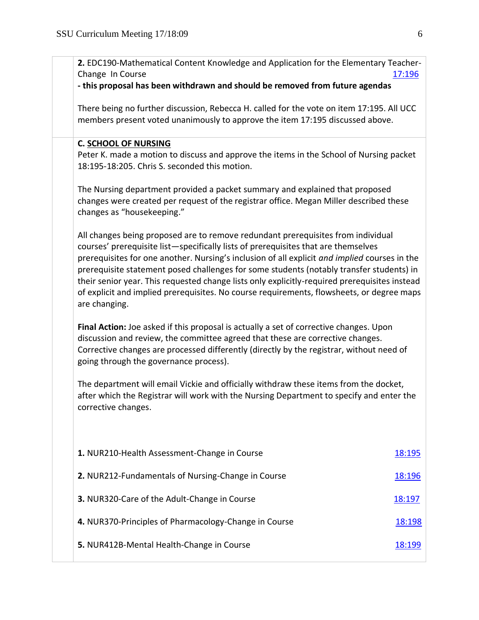| 2. EDC190-Mathematical Content Knowledge and Application for the Elementary Teacher-<br>Change In Course                                                                                                                                                                                                                                                                                                                                                                                                                                                                           | 17:196 |
|------------------------------------------------------------------------------------------------------------------------------------------------------------------------------------------------------------------------------------------------------------------------------------------------------------------------------------------------------------------------------------------------------------------------------------------------------------------------------------------------------------------------------------------------------------------------------------|--------|
| - this proposal has been withdrawn and should be removed from future agendas                                                                                                                                                                                                                                                                                                                                                                                                                                                                                                       |        |
| There being no further discussion, Rebecca H. called for the vote on item 17:195. All UCC<br>members present voted unanimously to approve the item 17:195 discussed above.                                                                                                                                                                                                                                                                                                                                                                                                         |        |
| <b>C. SCHOOL OF NURSING</b><br>Peter K. made a motion to discuss and approve the items in the School of Nursing packet<br>18:195-18:205. Chris S. seconded this motion.                                                                                                                                                                                                                                                                                                                                                                                                            |        |
| The Nursing department provided a packet summary and explained that proposed<br>changes were created per request of the registrar office. Megan Miller described these<br>changes as "housekeeping."                                                                                                                                                                                                                                                                                                                                                                               |        |
| All changes being proposed are to remove redundant prerequisites from individual<br>courses' prerequisite list-specifically lists of prerequisites that are themselves<br>prerequisites for one another. Nursing's inclusion of all explicit and implied courses in the<br>prerequisite statement posed challenges for some students (notably transfer students) in<br>their senior year. This requested change lists only explicitly-required prerequisites instead<br>of explicit and implied prerequisites. No course requirements, flowsheets, or degree maps<br>are changing. |        |
| Final Action: Joe asked if this proposal is actually a set of corrective changes. Upon<br>discussion and review, the committee agreed that these are corrective changes.<br>Corrective changes are processed differently (directly by the registrar, without need of<br>going through the governance process).                                                                                                                                                                                                                                                                     |        |
| The department will email Vickie and officially withdraw these items from the docket,<br>after which the Registrar will work with the Nursing Department to specify and enter the<br>corrective changes.                                                                                                                                                                                                                                                                                                                                                                           |        |
| 1. NUR210-Health Assessment-Change in Course                                                                                                                                                                                                                                                                                                                                                                                                                                                                                                                                       | 18:195 |
| 2. NUR212-Fundamentals of Nursing-Change in Course                                                                                                                                                                                                                                                                                                                                                                                                                                                                                                                                 | 18:196 |
| 3. NUR320-Care of the Adult-Change in Course                                                                                                                                                                                                                                                                                                                                                                                                                                                                                                                                       | 18:197 |
| 4. NUR370-Principles of Pharmacology-Change in Course                                                                                                                                                                                                                                                                                                                                                                                                                                                                                                                              | 18:198 |
| 5. NUR412B-Mental Health-Change in Course                                                                                                                                                                                                                                                                                                                                                                                                                                                                                                                                          | 18:199 |
|                                                                                                                                                                                                                                                                                                                                                                                                                                                                                                                                                                                    |        |